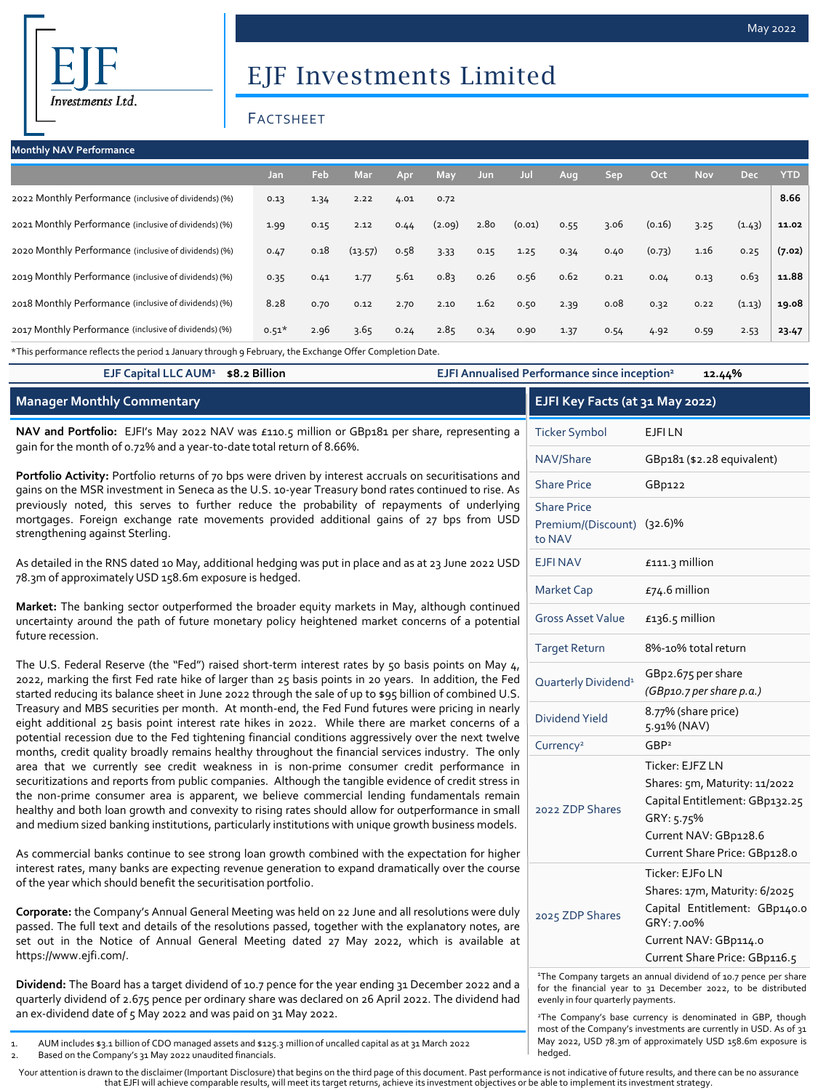# EJF Investments Limited

## FACTSHEET

| <b>Monthly NAV Performance</b>                        |         |      |         |      |            |      |        |      |            |        |            |            |            |
|-------------------------------------------------------|---------|------|---------|------|------------|------|--------|------|------------|--------|------------|------------|------------|
|                                                       | Jan     | Feb  | Mar     | Apr  | <b>May</b> | Jun  | Jul    | Aug  | <b>Sep</b> | Oct    | <b>Nov</b> | <b>Dec</b> | <b>YTD</b> |
| 2022 Monthly Performance (inclusive of dividends) (%) | 0.13    | 1.34 | 2.22    | 4.01 | 0.72       |      |        |      |            |        |            |            | 8.66       |
| 2021 Monthly Performance (inclusive of dividends) (%) | 1.99    | 0.15 | 2.12    | 0.44 | (2.09)     | 2.80 | (0.01) | 0.55 | 3.06       | (0.16) | 3.25       | (1.43)     | 11.02      |
| 2020 Monthly Performance (inclusive of dividends) (%) | 0.47    | 0.18 | (13.57) | 0.58 | 3.33       | 0.15 | 1.25   | 0.34 | 0.40       | (0.73) | 1.16       | 0.25       | (7.02)     |
| 2019 Monthly Performance (inclusive of dividends) (%) | 0.35    | 0.41 | 1.77    | 5.61 | 0.83       | 0.26 | 0.56   | 0.62 | 0.21       | 0.04   | 0.13       | 0.63       | 11.88      |
| 2018 Monthly Performance (inclusive of dividends) (%) | 8.28    | 0.70 | 0.12    | 2.70 | 2.10       | 1.62 | 0.50   | 2.39 | 0.08       | 0.32   | 0.22       | (1.13)     | 19.08      |
| 2017 Monthly Performance (inclusive of dividends) (%) | $0.51*$ | 2.96 | 3.65    | 0.24 | 2.85       | 0.34 | 0.90   | 1.37 | 0.54       | 4.92   | 0.59       | 2.53       | 23.47      |

\*This performance reflects the period 1 January through 9 February, the Exchange Offer Completion Date.

| EJF Capital LLC AUM <sup>1</sup> \$8.2 Billion                                                                                                                                                                                                                                                                                                                                                                                                                                                                                                                                                                     | EJFI Annualised Performance since inception <sup>2</sup> | 12.44%                                                                                                                                                     |
|--------------------------------------------------------------------------------------------------------------------------------------------------------------------------------------------------------------------------------------------------------------------------------------------------------------------------------------------------------------------------------------------------------------------------------------------------------------------------------------------------------------------------------------------------------------------------------------------------------------------|----------------------------------------------------------|------------------------------------------------------------------------------------------------------------------------------------------------------------|
| <b>Manager Monthly Commentary</b>                                                                                                                                                                                                                                                                                                                                                                                                                                                                                                                                                                                  |                                                          | EJFI Key Facts (at 31 May 2022)                                                                                                                            |
| NAV and Portfolio: EJFI's May 2022 NAV was £110.5 million or GBp181 per share, representing a                                                                                                                                                                                                                                                                                                                                                                                                                                                                                                                      | <b>Ticker Symbol</b>                                     | <b>EJFILN</b>                                                                                                                                              |
| gain for the month of 0.72% and a year-to-date total return of 8.66%.                                                                                                                                                                                                                                                                                                                                                                                                                                                                                                                                              | NAV/Share                                                | GBp181 (\$2.28 equivalent)                                                                                                                                 |
| Portfolio Activity: Portfolio returns of 70 bps were driven by interest accruals on securitisations and<br>gains on the MSR investment in Seneca as the U.S. 10-year Treasury bond rates continued to rise. As                                                                                                                                                                                                                                                                                                                                                                                                     | <b>Share Price</b>                                       | GBp122                                                                                                                                                     |
| previously noted, this serves to further reduce the probability of repayments of underlying<br>mortgages. Foreign exchange rate movements provided additional gains of 27 bps from USD<br>strengthening against Sterling.                                                                                                                                                                                                                                                                                                                                                                                          | <b>Share Price</b><br>to NAV                             | Premium/(Discount) (32.6)%                                                                                                                                 |
| As detailed in the RNS dated 10 May, additional hedging was put in place and as at 23 June 2022 USD                                                                                                                                                                                                                                                                                                                                                                                                                                                                                                                | <b>EJFINAV</b>                                           | £111.3 million                                                                                                                                             |
| 78.3m of approximately USD 158.6m exposure is hedged.                                                                                                                                                                                                                                                                                                                                                                                                                                                                                                                                                              | <b>Market Cap</b>                                        | $£74.6$ million                                                                                                                                            |
| Market: The banking sector outperformed the broader equity markets in May, although continued<br>uncertainty around the path of future monetary policy heightened market concerns of a potential<br>future recession.                                                                                                                                                                                                                                                                                                                                                                                              | <b>Gross Asset Value</b>                                 | $£136.5$ million                                                                                                                                           |
|                                                                                                                                                                                                                                                                                                                                                                                                                                                                                                                                                                                                                    | <b>Target Return</b>                                     | 8%-10% total return                                                                                                                                        |
| The U.S. Federal Reserve (the "Fed") raised short-term interest rates by 50 basis points on May $4$ ,<br>2022, marking the first Fed rate hike of larger than 25 basis points in 20 years. In addition, the Fed<br>started reducing its balance sheet in June 2022 through the sale of up to \$95 billion of combined U.S.                                                                                                                                                                                                                                                                                         | Quarterly Dividend <sup>1</sup>                          | GBp2.675 per share<br>(GBp10.7 per share p.a.)                                                                                                             |
| Treasury and MBS securities per month. At month-end, the Fed Fund futures were pricing in nearly<br>eight additional 25 basis point interest rate hikes in 2022. While there are market concerns of a                                                                                                                                                                                                                                                                                                                                                                                                              | <b>Dividend Yield</b>                                    | 8.77% (share price)<br>5.91% (NAV)                                                                                                                         |
| potential recession due to the Fed tightening financial conditions aggressively over the next twelve<br>months, credit quality broadly remains healthy throughout the financial services industry. The only                                                                                                                                                                                                                                                                                                                                                                                                        | Currency <sup>2</sup>                                    | GBP <sup>2</sup>                                                                                                                                           |
| area that we currently see credit weakness in is non-prime consumer credit performance in<br>securitizations and reports from public companies. Although the tangible evidence of credit stress in<br>the non-prime consumer area is apparent, we believe commercial lending fundamentals remain<br>healthy and both loan growth and convexity to rising rates should allow for outperformance in small<br>and medium sized banking institutions, particularly institutions with unique growth business models.<br>As commercial banks continue to see strong loan growth combined with the expectation for higher | 2022 ZDP Shares                                          | Ticker: EJFZ LN<br>Shares: 5m, Maturity: 11/2022<br>Capital Entitlement: GBp132.25<br>GRY: 5.75%<br>Current NAV: GBp128.6<br>Current Share Price: GBp128.0 |
| interest rates, many banks are expecting revenue generation to expand dramatically over the course<br>of the year which should benefit the securitisation portfolio.                                                                                                                                                                                                                                                                                                                                                                                                                                               |                                                          | Ticker: EJFo LN<br>Shares: 17m, Maturity: 6/2025                                                                                                           |

**Corporate:** the Company's Annual General Meeting was held on 22 June and all resolutions were duly passed. The full text and details of the resolutions passed, together with the explanatory notes, are set out in the Notice of Annual General Meeting dated 27 May 2022, which is available at https://www.ejfi.com/.

**Dividend:** The Board has a target dividend of 10.7 pence for the year ending 31 December 2022 and a quarterly dividend of 2.675 pence per ordinary share was declared on 26 April 2022. The dividend had an ex-dividend date of 5 May 2022 and was paid on 31 May 2022.

- 1. AUM includes \$3.1 billion of CDO managed assets and \$125.3 million of uncalled capital as at 31 March 2022
- 2. Based on the Company's 31 May 2022 unaudited financials.

|                                                                                                                                                                                    | Current Share Price: GBp116.5 |
|------------------------------------------------------------------------------------------------------------------------------------------------------------------------------------|-------------------------------|
| <sup>1</sup> The Company targets an annual dividend of 10.7 pence per share<br>for the financial year to 31 December 2022, to be distributed<br>evenly in four quarterly payments. |                               |

GRY: 7.00%

Capital Entitlement: GBp140.0

Current NAV: GBp114.0

2025 ZDP Shares

<sup>2</sup>The Company's base currency is denominated in GBP, though most of the Company's investments are currently in USD. As of 31 May 2022, USD 78.3m of approximately USD 158.6m exposure is hedged.

Your attention is drawn to the disclaimer (Important Disclosure) that begins on the third page of this document. Past performance is not indicative of future results, and there can be no assurance that EJFI will achieve comparable results, will meet its target returns, achieve its investment objectives or be able to implement its investment strategy.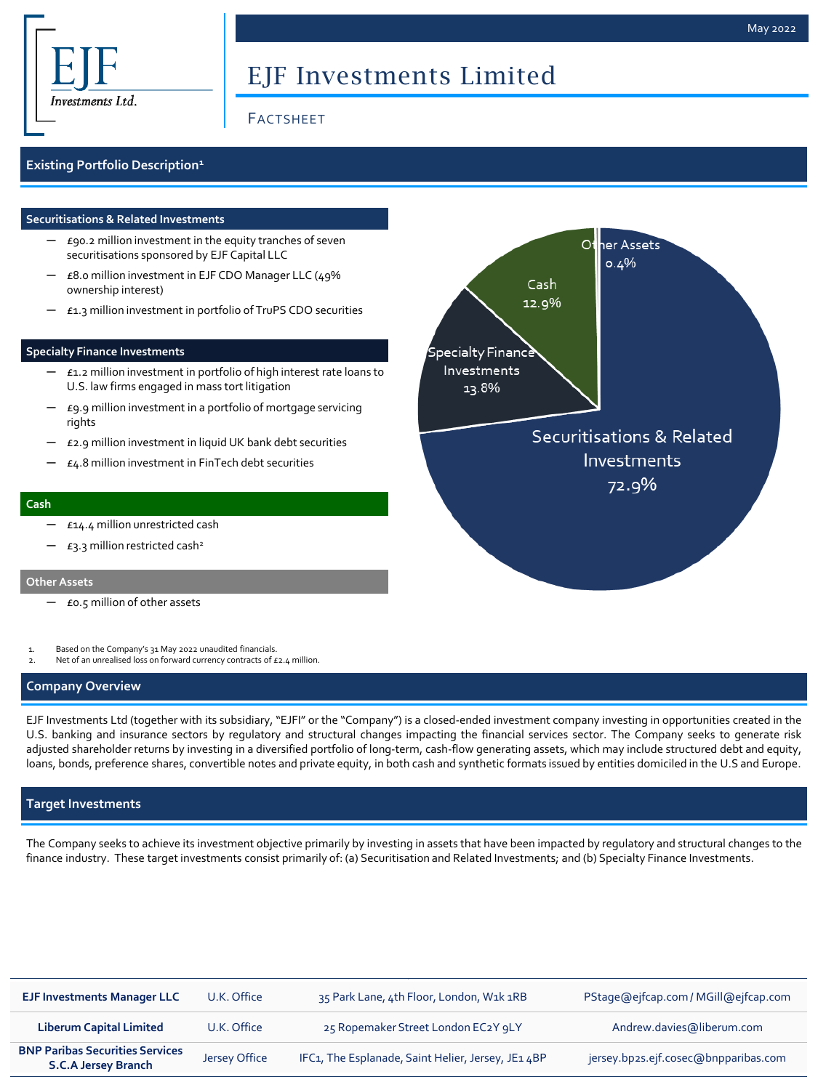

# EJF Investments Limited

## FACTSHEET

### **Existing Portfolio Description<sup>1</sup>**

#### **Securitisations & Related Investments**

- $E$ 90.2 million investment in the equity tranches of seven securitisations sponsored by EJF Capital LLC
- $E$ 8.0 million investment in EJF CDO Manager LLC (49% ownership interest)
- ─ £1.3 million investment in portfolio of TruPS CDO securities

#### **Specialty Finance Investments**

- $-$  £1.2 million investment in portfolio of high interest rate loans to U.S. law firms engaged in mass tort litigation
- ─ £9.9 million investment in a portfolio of mortgage servicing rights
- ─ £2.9 million investment in liquid UK bank debt securities
- $£4.8$  million investment in FinTech debt securities

#### **Cash**

- ─ £14.4 million unrestricted cash
- $-$  £3.3 million restricted cash<sup>2</sup>

#### **Other Assets**

- ─ £0.5 million of other assets
- Based on the Company's 31 May 2022 unaudited financials.
- Net of an unrealised loss on forward currency contracts of £2.4 million.

#### **Company Overview**

EJF Investments Ltd (together with its subsidiary, "EJFI" or the "Company") is a closed-ended investment company investing in opportunities created in the U.S. banking and insurance sectors by regulatory and structural changes impacting the financial services sector. The Company seeks to generate risk adjusted shareholder returns by investing in a diversified portfolio of long-term, cash-flow generating assets, which may include structured debt and equity, loans, bonds, preference shares, convertible notes and private equity, in both cash and synthetic formats issued by entities domiciled in the U.S and Europe.

#### **Target Investments**

The Company seeks to achieve its investment objective primarily by investing in assets that have been impacted by regulatory and structural changes to the finance industry. These target investments consist primarily of: (a) Securitisation and Related Investments; and (b) Specialty Finance Investments.

| <b>EJF Investments Manager LLC</b>                                   | U.K. Office   | 35 Park Lane, 4th Floor, London, W1k 1RB           | PStage@ejfcap.com/MGill@ejfcap.com   |
|----------------------------------------------------------------------|---------------|----------------------------------------------------|--------------------------------------|
| <b>Liberum Capital Limited</b>                                       | U.K. Office   | 25 Ropemaker Street London EC2Y 9LY                | Andrew.davies@liberum.com            |
| <b>BNP Paribas Securities Services</b><br><b>S.C.A Jersey Branch</b> | Jersey Office | IFC1, The Esplanade, Saint Helier, Jersey, JE1 4BP | jersey.bp2s.ejf.cosec@bnpparibas.com |